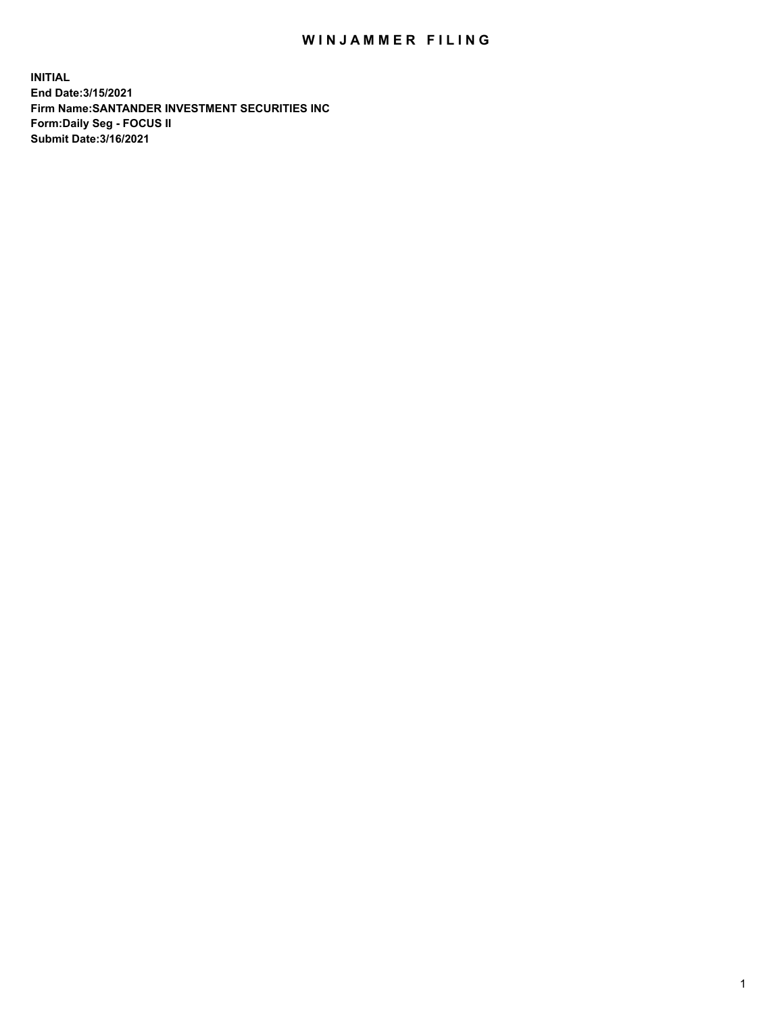## WIN JAMMER FILING

**INITIAL End Date:3/15/2021 Firm Name:SANTANDER INVESTMENT SECURITIES INC Form:Daily Seg - FOCUS II Submit Date:3/16/2021**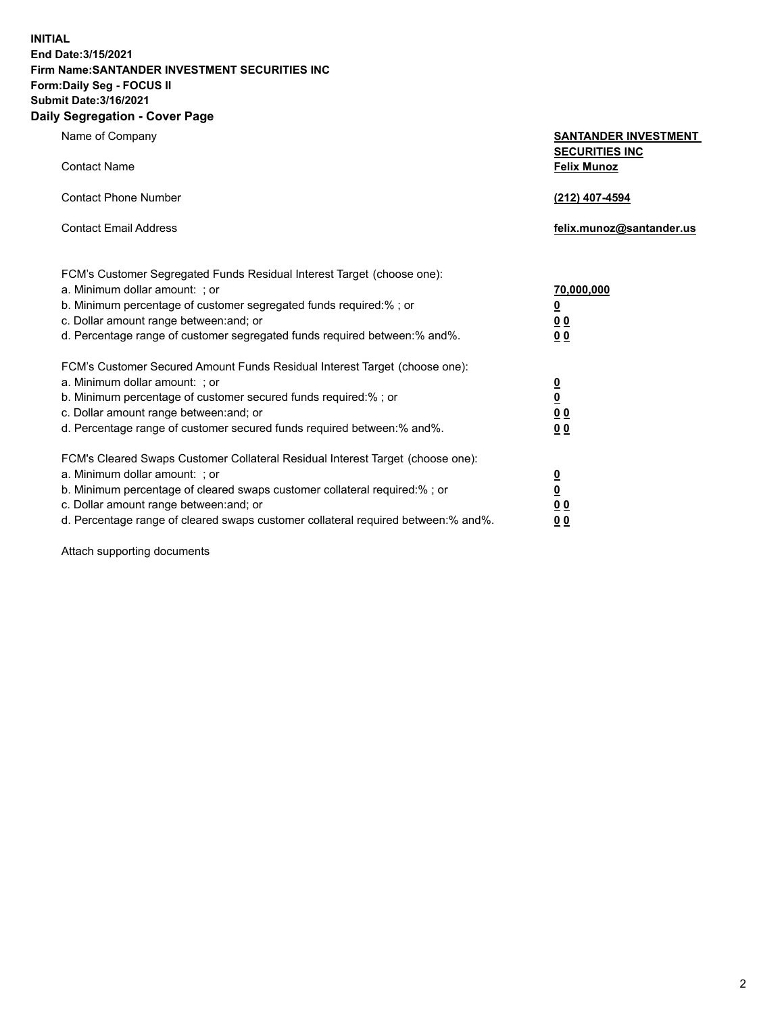**INITIAL End Date:3/15/2021 Firm Name:SANTANDER INVESTMENT SECURITIES INC Form:Daily Seg - FOCUS II Submit Date:3/16/2021 Daily Segregation - Cover Page**

| Name of Company                                                                   | <b>SANTANDER INVESTMENT</b><br><b>SECURITIES INC</b> |
|-----------------------------------------------------------------------------------|------------------------------------------------------|
| <b>Contact Name</b>                                                               | <b>Felix Munoz</b>                                   |
| <b>Contact Phone Number</b>                                                       | (212) 407-4594                                       |
| <b>Contact Email Address</b>                                                      | felix.munoz@santander.us                             |
| FCM's Customer Segregated Funds Residual Interest Target (choose one):            |                                                      |
| a. Minimum dollar amount: ; or                                                    | 70,000,000                                           |
| b. Minimum percentage of customer segregated funds required:%; or                 | <u>0</u>                                             |
| c. Dollar amount range between: and; or                                           | 0 <sub>0</sub>                                       |
| d. Percentage range of customer segregated funds required between:% and%.         | 0 <sub>0</sub>                                       |
| FCM's Customer Secured Amount Funds Residual Interest Target (choose one):        |                                                      |
| a. Minimum dollar amount: ; or                                                    | $\frac{0}{0}$                                        |
| b. Minimum percentage of customer secured funds required:%; or                    |                                                      |
| c. Dollar amount range between: and; or                                           | 0 <sub>0</sub>                                       |
| d. Percentage range of customer secured funds required between:% and%.            | 0 <sub>0</sub>                                       |
| FCM's Cleared Swaps Customer Collateral Residual Interest Target (choose one):    |                                                      |
| a. Minimum dollar amount: ; or                                                    | $\overline{\mathbf{0}}$                              |
| b. Minimum percentage of cleared swaps customer collateral required:% ; or        | $\underline{\mathbf{0}}$                             |
| c. Dollar amount range between: and; or                                           | 0 <sub>0</sub>                                       |
| d. Percentage range of cleared swaps customer collateral required between:% and%. | <u>00</u>                                            |

Attach supporting documents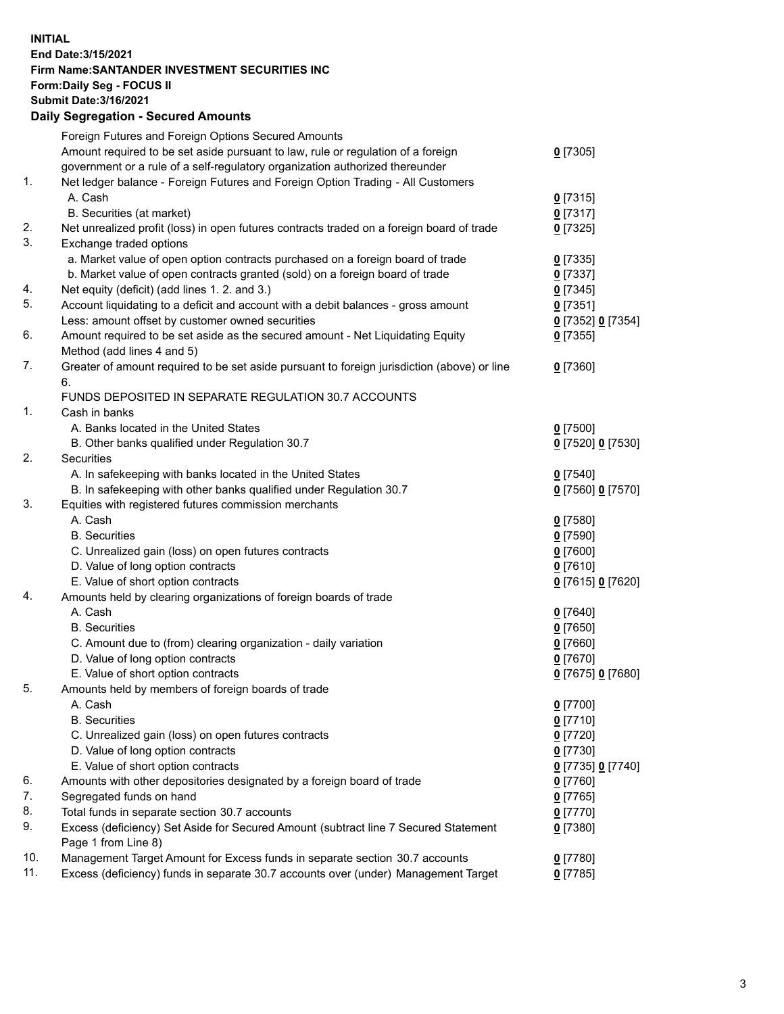**INITIAL End Date:3/15/2021 Firm Name:SANTANDER INVESTMENT SECURITIES INC Form:Daily Seg - FOCUS II Submit Date:3/16/2021 Daily Segregation - Secured Amounts** Foreign Futures and Foreign Options Secured Amounts

|     | Foreign Futures and Foreign Options Secured Amounts                                         |                          |
|-----|---------------------------------------------------------------------------------------------|--------------------------|
|     | Amount required to be set aside pursuant to law, rule or regulation of a foreign            | $0$ [7305]               |
|     | government or a rule of a self-regulatory organization authorized thereunder                |                          |
| 1.  | Net ledger balance - Foreign Futures and Foreign Option Trading - All Customers             |                          |
|     | A. Cash                                                                                     | $0$ [7315]               |
|     | B. Securities (at market)                                                                   | $0$ [7317]               |
| 2.  | Net unrealized profit (loss) in open futures contracts traded on a foreign board of trade   | $0$ [7325]               |
| 3.  | Exchange traded options                                                                     |                          |
|     | a. Market value of open option contracts purchased on a foreign board of trade              | $0$ [7335]               |
|     | b. Market value of open contracts granted (sold) on a foreign board of trade                | $0$ [7337]               |
| 4.  | Net equity (deficit) (add lines 1. 2. and 3.)                                               | $0$ [7345]               |
| 5.  | Account liquidating to a deficit and account with a debit balances - gross amount           | $0$ [7351]               |
|     | Less: amount offset by customer owned securities                                            | 0 [7352] 0 [7354]        |
| 6.  | Amount required to be set aside as the secured amount - Net Liquidating Equity              | $0$ [7355]               |
|     | Method (add lines 4 and 5)                                                                  |                          |
| 7.  | Greater of amount required to be set aside pursuant to foreign jurisdiction (above) or line | $0$ [7360]               |
|     | 6.                                                                                          |                          |
|     | FUNDS DEPOSITED IN SEPARATE REGULATION 30.7 ACCOUNTS                                        |                          |
| 1.  | Cash in banks                                                                               |                          |
|     | A. Banks located in the United States                                                       | $0$ [7500]               |
|     | B. Other banks qualified under Regulation 30.7                                              | 0 [7520] 0 [7530]        |
| 2.  | Securities                                                                                  |                          |
|     | A. In safekeeping with banks located in the United States                                   | $0$ [7540]               |
|     | B. In safekeeping with other banks qualified under Regulation 30.7                          | 0 [7560] 0 [7570]        |
| 3.  | Equities with registered futures commission merchants                                       |                          |
|     | A. Cash                                                                                     | $0$ [7580]               |
|     | <b>B.</b> Securities                                                                        | <u>0</u> [7590]          |
|     | C. Unrealized gain (loss) on open futures contracts                                         | $0$ [7600]               |
|     | D. Value of long option contracts                                                           | $0$ [7610]               |
|     | E. Value of short option contracts                                                          | 0 [7615] 0 [7620]        |
| 4.  | Amounts held by clearing organizations of foreign boards of trade                           |                          |
|     | A. Cash                                                                                     | $0$ [7640]               |
|     | <b>B.</b> Securities                                                                        | <u>0</u> [7650]          |
|     | C. Amount due to (from) clearing organization - daily variation                             | $0$ [7660]               |
|     | D. Value of long option contracts                                                           | $0$ [7670]               |
|     | E. Value of short option contracts                                                          | 0 [7675] 0 [7680]        |
| 5.  | Amounts held by members of foreign boards of trade                                          |                          |
|     | A. Cash                                                                                     | 0 [7700]                 |
|     | <b>B.</b> Securities                                                                        | $0$ [7710]               |
|     | C. Unrealized gain (loss) on open futures contracts                                         | $0$ [7720]               |
|     | D. Value of long option contracts                                                           | $0$ [7730]               |
|     | E. Value of short option contracts                                                          | 0 [7735] 0 [7740]        |
| 6.  | Amounts with other depositories designated by a foreign board of trade                      | $0$ [7760]               |
| 7.  | Segregated funds on hand                                                                    |                          |
| 8.  | Total funds in separate section 30.7 accounts                                               | $0$ [7765]<br>$0$ [7770] |
| 9.  | Excess (deficiency) Set Aside for Secured Amount (subtract line 7 Secured Statement         | $0$ [7380]               |
|     | Page 1 from Line 8)                                                                         |                          |
| 10. | Management Target Amount for Excess funds in separate section 30.7 accounts                 | $0$ [7780]               |
| 11. | Excess (deficiency) funds in separate 30.7 accounts over (under) Management Target          | $0$ [7785]               |
|     |                                                                                             |                          |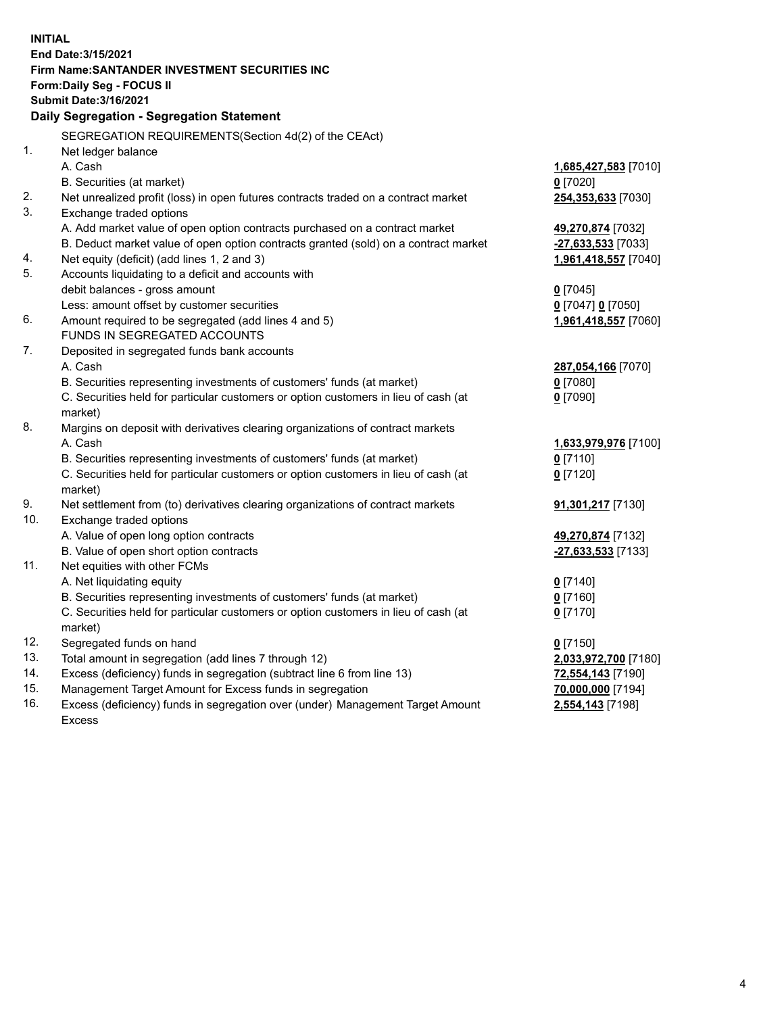| <b>INITIAL</b> |                                                                                     |                                         |
|----------------|-------------------------------------------------------------------------------------|-----------------------------------------|
|                | End Date: 3/15/2021                                                                 |                                         |
|                | <b>Firm Name: SANTANDER INVESTMENT SECURITIES INC</b>                               |                                         |
|                | Form: Daily Seg - FOCUS II                                                          |                                         |
|                | <b>Submit Date: 3/16/2021</b>                                                       |                                         |
|                | Daily Segregation - Segregation Statement                                           |                                         |
|                | SEGREGATION REQUIREMENTS(Section 4d(2) of the CEAct)                                |                                         |
| 1.             | Net ledger balance                                                                  |                                         |
|                | A. Cash                                                                             | 1,685,427,583 [7010]                    |
|                | B. Securities (at market)                                                           | $0$ [7020]                              |
| 2.             | Net unrealized profit (loss) in open futures contracts traded on a contract market  | 254,353,633 [7030]                      |
| 3.             | Exchange traded options                                                             |                                         |
|                | A. Add market value of open option contracts purchased on a contract market         | 49,270,874 [7032]                       |
|                | B. Deduct market value of open option contracts granted (sold) on a contract market | -27,633,533 [7033]                      |
| 4.             | Net equity (deficit) (add lines 1, 2 and 3)                                         | 1,961,418,557 [7040]                    |
| 5.             | Accounts liquidating to a deficit and accounts with                                 |                                         |
|                | debit balances - gross amount                                                       | $0$ [7045]                              |
|                | Less: amount offset by customer securities                                          | 0 [7047] 0 [7050]                       |
| 6.             | Amount required to be segregated (add lines 4 and 5)                                | 1,961,418,557 [7060]                    |
|                | FUNDS IN SEGREGATED ACCOUNTS                                                        |                                         |
| 7.             | Deposited in segregated funds bank accounts                                         |                                         |
|                | A. Cash                                                                             | 287,054,166 [7070]                      |
|                | B. Securities representing investments of customers' funds (at market)              | $0$ [7080]                              |
|                | C. Securities held for particular customers or option customers in lieu of cash (at | $0$ [7090]                              |
|                | market)                                                                             |                                         |
| 8.             | Margins on deposit with derivatives clearing organizations of contract markets      |                                         |
|                | A. Cash                                                                             | 1,633,979,976 [7100]                    |
|                | B. Securities representing investments of customers' funds (at market)              | $0$ [7110]                              |
|                | C. Securities held for particular customers or option customers in lieu of cash (at | $0$ [7120]                              |
|                | market)                                                                             |                                         |
| 9.<br>10.      | Net settlement from (to) derivatives clearing organizations of contract markets     | 91,301,217 [7130]                       |
|                | Exchange traded options<br>A. Value of open long option contracts                   |                                         |
|                | B. Value of open short option contracts                                             | 49,270,874 [7132]<br>-27,633,533 [7133] |
| 11.            | Net equities with other FCMs                                                        |                                         |
|                | A. Net liquidating equity                                                           | $0$ [7140]                              |
|                | B. Securities representing investments of customers' funds (at market)              | $0$ [7160]                              |
|                | C. Securities held for particular customers or option customers in lieu of cash (at | $0$ [7170]                              |
|                | market)                                                                             |                                         |
| 12.            | Segregated funds on hand                                                            | $0$ [7150]                              |
| 13.            | Total amount in segregation (add lines 7 through 12)                                | 2,033,972,700 [7180]                    |
| 14.            | Excess (deficiency) funds in segregation (subtract line 6 from line 13)             | 72,554,143 [7190]                       |
| 15.            | Management Target Amount for Excess funds in segregation                            | 70,000,000 [7194]                       |
| 16.            | Excess (deficiency) funds in segregation over (under) Management Target Amount      | 2,554,143 [7198]                        |
|                | <b>Excess</b>                                                                       |                                         |